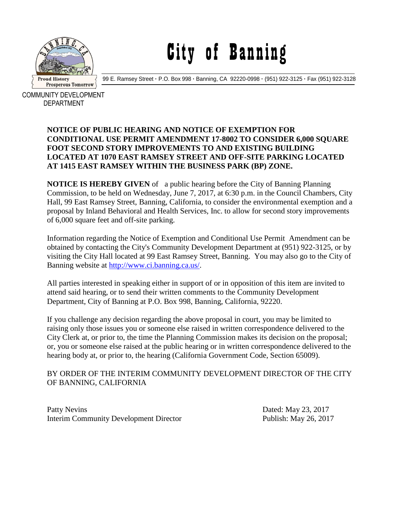

# City of Banning

99 E. Ramsey Street **·** P.O. Box 998 **·** Banning, CA 92220-0998 **·** (951) 922-3125 **·** Fax (951) 922-3128

COMMUNITY DEVELOPMENT DEPARTMENT

#### **NOTICE OF PUBLIC HEARING AND NOTICE OF EXEMPTION FOR CONDITIONAL USE PERMIT AMENDMENT 17-8002 TO CONSIDER 6,000 SQUARE FOOT SECOND STORY IMPROVEMENTS TO AND EXISTING BUILDING LOCATED AT 1070 EAST RAMSEY STREET AND OFF-SITE PARKING LOCATED AT 1415 EAST RAMSEY WITHIN THE BUSINESS PARK (BP) ZONE.**

**NOTICE IS HEREBY GIVEN** of a public hearing before the City of Banning Planning Commission, to be held on Wednesday, June 7, 2017, at 6:30 p.m. in the Council Chambers, City Hall, 99 East Ramsey Street, Banning, California, to consider the environmental exemption and a proposal by Inland Behavioral and Health Services, Inc. to allow for second story improvements of 6,000 square feet and off-site parking.

Information regarding the Notice of Exemption and Conditional Use Permit Amendment can be obtained by contacting the City's Community Development Department at (951) 922-3125, or by visiting the City Hall located at 99 East Ramsey Street, Banning. You may also go to the City of Banning website at [http://www.ci.banning.ca.us/.](http://www.ci.banning.ca.us/)

All parties interested in speaking either in support of or in opposition of this item are invited to attend said hearing, or to send their written comments to the Community Development Department, City of Banning at P.O. Box 998, Banning, California, 92220.

If you challenge any decision regarding the above proposal in court, you may be limited to raising only those issues you or someone else raised in written correspondence delivered to the City Clerk at, or prior to, the time the Planning Commission makes its decision on the proposal; or, you or someone else raised at the public hearing or in written correspondence delivered to the hearing body at, or prior to, the hearing (California Government Code, Section 65009).

### BY ORDER OF THE INTERIM COMMUNITY DEVELOPMENT DIRECTOR OF THE CITY OF BANNING, CALIFORNIA

Patty Nevins Dated: May 23, 2017 Interim Community Development Director Publish: May 26, 2017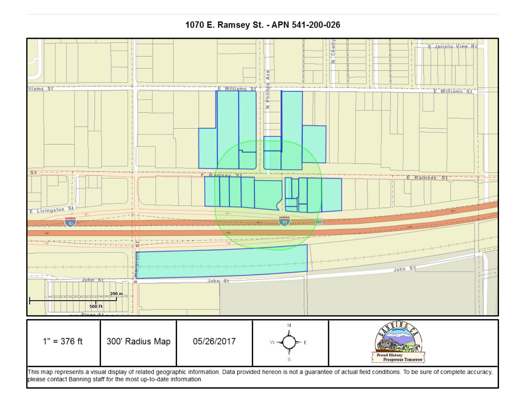## 1070 E. Ramsey St. - APN 541-200-026